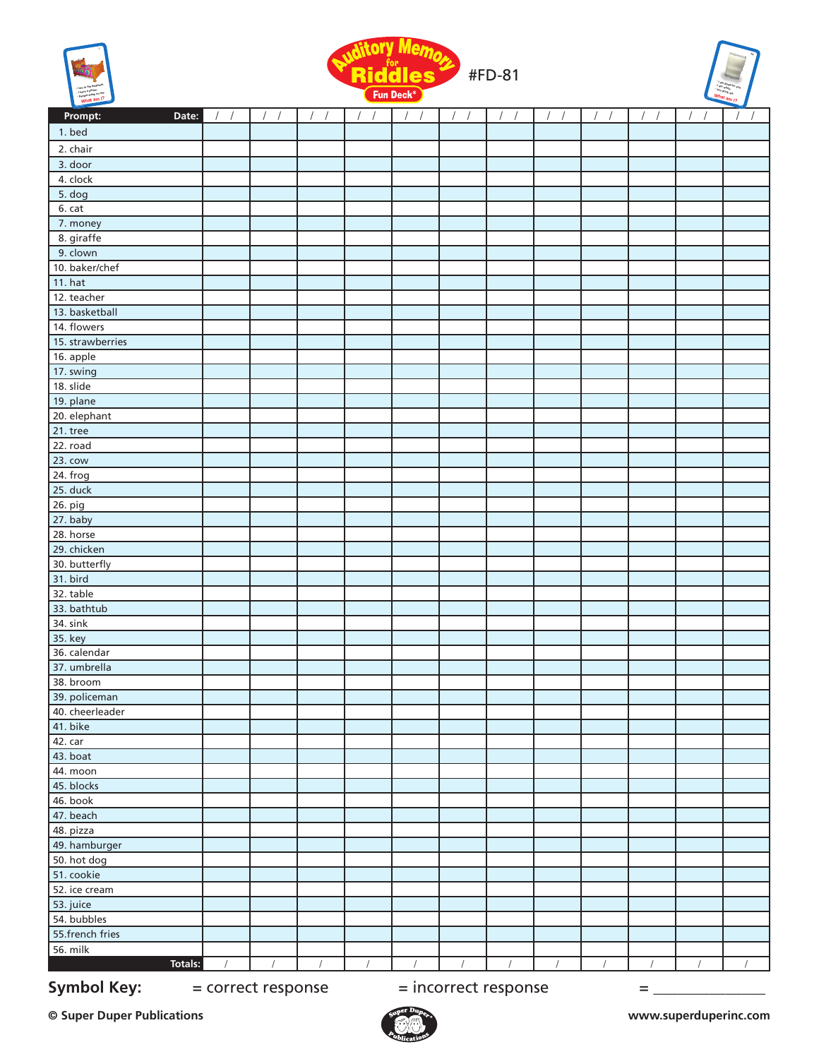





| 1. bed<br>2. chair<br>3. door<br>4. clock<br>5. dog<br>6. cat<br>7. money<br>8. giraffe<br>9. clown<br>10. baker/chef<br><b>11. hat</b><br>12. teacher<br>13. basketball<br>14. flowers<br>15. strawberries<br>16. apple<br>17. swing<br>18. slide<br>19. plane<br>20. elephant<br>$21.$ tree<br>22. road<br>$23.$ cow<br>$24.$ frog<br>25. duck<br>26. pig<br>27. baby<br>28. horse<br>29. chicken<br>30. butterfly<br>31. bird<br>32. table<br>33. bathtub<br>34. sink<br>35. key<br>36. calendar<br>37. umbrella<br>38. broom<br>39. policeman<br>40. cheerleader<br>41. bike<br>42. car<br>43. boat<br>44. moon<br>45. blocks<br>46. book<br>47. beach<br>48. pizza<br>49. hamburger<br>50. hot dog<br>51. cookie<br>52. ice cream<br>53. juice | Prompt:<br>Date: | $\sqrt{ }$ | $\prime$ | $\sqrt{2}$<br>$\prime$ | $\sqrt{2}$ | $\sqrt{2}$ | $\prime$<br>$\prime$ | $\sqrt{2}$ | $\prime$<br>$\prime$ | $\sqrt{ }$ | $\left  \quad \right $ | $\sqrt{1}$ |
|-----------------------------------------------------------------------------------------------------------------------------------------------------------------------------------------------------------------------------------------------------------------------------------------------------------------------------------------------------------------------------------------------------------------------------------------------------------------------------------------------------------------------------------------------------------------------------------------------------------------------------------------------------------------------------------------------------------------------------------------------------|------------------|------------|----------|------------------------|------------|------------|----------------------|------------|----------------------|------------|------------------------|------------|
|                                                                                                                                                                                                                                                                                                                                                                                                                                                                                                                                                                                                                                                                                                                                                     |                  |            |          |                        |            |            |                      |            |                      |            |                        |            |
|                                                                                                                                                                                                                                                                                                                                                                                                                                                                                                                                                                                                                                                                                                                                                     |                  |            |          |                        |            |            |                      |            |                      |            |                        |            |
|                                                                                                                                                                                                                                                                                                                                                                                                                                                                                                                                                                                                                                                                                                                                                     |                  |            |          |                        |            |            |                      |            |                      |            |                        |            |
|                                                                                                                                                                                                                                                                                                                                                                                                                                                                                                                                                                                                                                                                                                                                                     |                  |            |          |                        |            |            |                      |            |                      |            |                        |            |
|                                                                                                                                                                                                                                                                                                                                                                                                                                                                                                                                                                                                                                                                                                                                                     |                  |            |          |                        |            |            |                      |            |                      |            |                        |            |
|                                                                                                                                                                                                                                                                                                                                                                                                                                                                                                                                                                                                                                                                                                                                                     |                  |            |          |                        |            |            |                      |            |                      |            |                        |            |
|                                                                                                                                                                                                                                                                                                                                                                                                                                                                                                                                                                                                                                                                                                                                                     |                  |            |          |                        |            |            |                      |            |                      |            |                        |            |
|                                                                                                                                                                                                                                                                                                                                                                                                                                                                                                                                                                                                                                                                                                                                                     |                  |            |          |                        |            |            |                      |            |                      |            |                        |            |
|                                                                                                                                                                                                                                                                                                                                                                                                                                                                                                                                                                                                                                                                                                                                                     |                  |            |          |                        |            |            |                      |            |                      |            |                        |            |
|                                                                                                                                                                                                                                                                                                                                                                                                                                                                                                                                                                                                                                                                                                                                                     |                  |            |          |                        |            |            |                      |            |                      |            |                        |            |
|                                                                                                                                                                                                                                                                                                                                                                                                                                                                                                                                                                                                                                                                                                                                                     |                  |            |          |                        |            |            |                      |            |                      |            |                        |            |
|                                                                                                                                                                                                                                                                                                                                                                                                                                                                                                                                                                                                                                                                                                                                                     |                  |            |          |                        |            |            |                      |            |                      |            |                        |            |
|                                                                                                                                                                                                                                                                                                                                                                                                                                                                                                                                                                                                                                                                                                                                                     |                  |            |          |                        |            |            |                      |            |                      |            |                        |            |
|                                                                                                                                                                                                                                                                                                                                                                                                                                                                                                                                                                                                                                                                                                                                                     |                  |            |          |                        |            |            |                      |            |                      |            |                        |            |
|                                                                                                                                                                                                                                                                                                                                                                                                                                                                                                                                                                                                                                                                                                                                                     |                  |            |          |                        |            |            |                      |            |                      |            |                        |            |
|                                                                                                                                                                                                                                                                                                                                                                                                                                                                                                                                                                                                                                                                                                                                                     |                  |            |          |                        |            |            |                      |            |                      |            |                        |            |
|                                                                                                                                                                                                                                                                                                                                                                                                                                                                                                                                                                                                                                                                                                                                                     |                  |            |          |                        |            |            |                      |            |                      |            |                        |            |
|                                                                                                                                                                                                                                                                                                                                                                                                                                                                                                                                                                                                                                                                                                                                                     |                  |            |          |                        |            |            |                      |            |                      |            |                        |            |
|                                                                                                                                                                                                                                                                                                                                                                                                                                                                                                                                                                                                                                                                                                                                                     |                  |            |          |                        |            |            |                      |            |                      |            |                        |            |
|                                                                                                                                                                                                                                                                                                                                                                                                                                                                                                                                                                                                                                                                                                                                                     |                  |            |          |                        |            |            |                      |            |                      |            |                        |            |
|                                                                                                                                                                                                                                                                                                                                                                                                                                                                                                                                                                                                                                                                                                                                                     |                  |            |          |                        |            |            |                      |            |                      |            |                        |            |
|                                                                                                                                                                                                                                                                                                                                                                                                                                                                                                                                                                                                                                                                                                                                                     |                  |            |          |                        |            |            |                      |            |                      |            |                        |            |
|                                                                                                                                                                                                                                                                                                                                                                                                                                                                                                                                                                                                                                                                                                                                                     |                  |            |          |                        |            |            |                      |            |                      |            |                        |            |
|                                                                                                                                                                                                                                                                                                                                                                                                                                                                                                                                                                                                                                                                                                                                                     |                  |            |          |                        |            |            |                      |            |                      |            |                        |            |
|                                                                                                                                                                                                                                                                                                                                                                                                                                                                                                                                                                                                                                                                                                                                                     |                  |            |          |                        |            |            |                      |            |                      |            |                        |            |
|                                                                                                                                                                                                                                                                                                                                                                                                                                                                                                                                                                                                                                                                                                                                                     |                  |            |          |                        |            |            |                      |            |                      |            |                        |            |
|                                                                                                                                                                                                                                                                                                                                                                                                                                                                                                                                                                                                                                                                                                                                                     |                  |            |          |                        |            |            |                      |            |                      |            |                        |            |
|                                                                                                                                                                                                                                                                                                                                                                                                                                                                                                                                                                                                                                                                                                                                                     |                  |            |          |                        |            |            |                      |            |                      |            |                        |            |
|                                                                                                                                                                                                                                                                                                                                                                                                                                                                                                                                                                                                                                                                                                                                                     |                  |            |          |                        |            |            |                      |            |                      |            |                        |            |
|                                                                                                                                                                                                                                                                                                                                                                                                                                                                                                                                                                                                                                                                                                                                                     |                  |            |          |                        |            |            |                      |            |                      |            |                        |            |
|                                                                                                                                                                                                                                                                                                                                                                                                                                                                                                                                                                                                                                                                                                                                                     |                  |            |          |                        |            |            |                      |            |                      |            |                        |            |
|                                                                                                                                                                                                                                                                                                                                                                                                                                                                                                                                                                                                                                                                                                                                                     |                  |            |          |                        |            |            |                      |            |                      |            |                        |            |
|                                                                                                                                                                                                                                                                                                                                                                                                                                                                                                                                                                                                                                                                                                                                                     |                  |            |          |                        |            |            |                      |            |                      |            |                        |            |
|                                                                                                                                                                                                                                                                                                                                                                                                                                                                                                                                                                                                                                                                                                                                                     |                  |            |          |                        |            |            |                      |            |                      |            |                        |            |
|                                                                                                                                                                                                                                                                                                                                                                                                                                                                                                                                                                                                                                                                                                                                                     |                  |            |          |                        |            |            |                      |            |                      |            |                        |            |
|                                                                                                                                                                                                                                                                                                                                                                                                                                                                                                                                                                                                                                                                                                                                                     |                  |            |          |                        |            |            |                      |            |                      |            |                        |            |
|                                                                                                                                                                                                                                                                                                                                                                                                                                                                                                                                                                                                                                                                                                                                                     |                  |            |          |                        |            |            |                      |            |                      |            |                        |            |
|                                                                                                                                                                                                                                                                                                                                                                                                                                                                                                                                                                                                                                                                                                                                                     |                  |            |          |                        |            |            |                      |            |                      |            |                        |            |
|                                                                                                                                                                                                                                                                                                                                                                                                                                                                                                                                                                                                                                                                                                                                                     |                  |            |          |                        |            |            |                      |            |                      |            |                        |            |
|                                                                                                                                                                                                                                                                                                                                                                                                                                                                                                                                                                                                                                                                                                                                                     |                  |            |          |                        |            |            |                      |            |                      |            |                        |            |
|                                                                                                                                                                                                                                                                                                                                                                                                                                                                                                                                                                                                                                                                                                                                                     |                  |            |          |                        |            |            |                      |            |                      |            |                        |            |
|                                                                                                                                                                                                                                                                                                                                                                                                                                                                                                                                                                                                                                                                                                                                                     |                  |            |          |                        |            |            |                      |            |                      |            |                        |            |
|                                                                                                                                                                                                                                                                                                                                                                                                                                                                                                                                                                                                                                                                                                                                                     |                  |            |          |                        |            |            |                      |            |                      |            |                        |            |
|                                                                                                                                                                                                                                                                                                                                                                                                                                                                                                                                                                                                                                                                                                                                                     |                  |            |          |                        |            |            |                      |            |                      |            |                        |            |
|                                                                                                                                                                                                                                                                                                                                                                                                                                                                                                                                                                                                                                                                                                                                                     |                  |            |          |                        |            |            |                      |            |                      |            |                        |            |
|                                                                                                                                                                                                                                                                                                                                                                                                                                                                                                                                                                                                                                                                                                                                                     |                  |            |          |                        |            |            |                      |            |                      |            |                        |            |
|                                                                                                                                                                                                                                                                                                                                                                                                                                                                                                                                                                                                                                                                                                                                                     |                  |            |          |                        |            |            |                      |            |                      |            |                        |            |
|                                                                                                                                                                                                                                                                                                                                                                                                                                                                                                                                                                                                                                                                                                                                                     |                  |            |          |                        |            |            |                      |            |                      |            |                        |            |
|                                                                                                                                                                                                                                                                                                                                                                                                                                                                                                                                                                                                                                                                                                                                                     |                  |            |          |                        |            |            |                      |            |                      |            |                        |            |
|                                                                                                                                                                                                                                                                                                                                                                                                                                                                                                                                                                                                                                                                                                                                                     |                  |            |          |                        |            |            |                      |            |                      |            |                        |            |
|                                                                                                                                                                                                                                                                                                                                                                                                                                                                                                                                                                                                                                                                                                                                                     |                  |            |          |                        |            |            |                      |            |                      |            |                        |            |
|                                                                                                                                                                                                                                                                                                                                                                                                                                                                                                                                                                                                                                                                                                                                                     |                  |            |          |                        |            |            |                      |            |                      |            |                        |            |
|                                                                                                                                                                                                                                                                                                                                                                                                                                                                                                                                                                                                                                                                                                                                                     |                  |            |          |                        |            |            |                      |            |                      |            |                        |            |
|                                                                                                                                                                                                                                                                                                                                                                                                                                                                                                                                                                                                                                                                                                                                                     | 54. bubbles      |            |          |                        |            |            |                      |            |                      |            |                        |            |
|                                                                                                                                                                                                                                                                                                                                                                                                                                                                                                                                                                                                                                                                                                                                                     | 55.french fries  |            |          |                        |            |            |                      |            |                      |            |                        |            |
|                                                                                                                                                                                                                                                                                                                                                                                                                                                                                                                                                                                                                                                                                                                                                     | 56. milk         |            |          |                        |            |            |                      |            |                      |            |                        |            |
| Totals:<br>$\sqrt{ }$<br>$\prime$<br>$\prime$<br>$\prime$                                                                                                                                                                                                                                                                                                                                                                                                                                                                                                                                                                                                                                                                                           |                  |            |          |                        |            |            |                      |            |                      |            |                        |            |

**Symbol Key:**  $=$  correct response  $=$  incorrect response  $=$   $=$